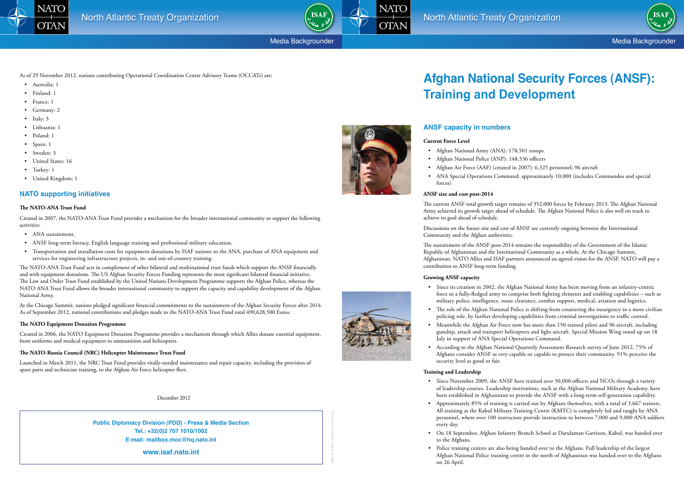Media Backgrounder





Media Backgrounder

# **Afghan National Security Forces (ANSF): Training and Development**

• Afghan Air Force (AAF) (created in 2007): 6,325 personnel; 96 aircraft • ANA Special Operations Command: approximately 10,000 (includes Commandos and special

## **ANSF capacity in numbers**

### **Current Force Level**

- • Afghan National Army (ANA): 178,501 troops.
- • Afghan National Police (ANP): 148,536 officers
- 
- forces)

#### **ANSF size and cost post-2014**

• Since its creation in 2002, the Afghan National Army has been moving from an infantry-centric force to a fully-fledged army to comprise both fighting elements and enabling capabilities – such as military police, intelligence, route clearance, combat support, medical, aviation and logistics. • The role of the Afghan National Police is shifting from countering the insurgency to a more civilian

The current ANSF total growth target remains of 352,000 forces by February 2013. The Afghan National Army achieved its growth target ahead of schedule. The Afghan National Police is also well on track to achieve its goal ahead of schedule.

Discussions on the future size and cost of ANSF are currently ongoing between the International Community and the Afghan authorities.

• Meanwhile the Afghan Air Force now has more than 150 trained pilots and 96 aircraft, including gunship, attack and transport helicopters and light aircraft. Special Mission Wing stood up on 18

The sustainment of the ANSF post-2014 remains the responsibility of the Government of the Islamic Republic of Afghanistan and the International Community as a whole. At the Chicago Summit, Afghanistan, NATO Allies and ISAF partners announced an agreed vision for the ANSF. NATO will pay a contribution to ANSF long-term funding.

### **Growing ANSF capacity**

• Since November 2009, the ANSF have trained over 50,000 officers and NCOs through a variety of leadership courses. Leadership institutions, such as the Afghan National Military Academy, have been established in Afghanistan to provide the ANSF with a long-term self-generation capability. • Approximately 85% of training is carried out by Afghans themselves, with a total of 3,667 trainers. All training at the Kabul Military Training Centre (KMTC) is completely led and taught by ANA personnel, where over 100 instructors provide instruction to between 7,000 and 9,000 ANA soldiers

- • Australia: 1
- • Finland: 1
- France: 1
- Germany: 2
- Italy: 3
- • Lithuania: 1
- Poland: 1
- Spain: 1
- Sweden: 3
- United States: 16
- Turkey: 1
- United Kingdom: 1

- 
- policing role, by further developing capabilities from criminal investigations to traffic control.
- July in support of ANA Special Operations Command.
- security level as good or fair.
- ANA sustainment,
- • ANSF long-term literacy, English language training and professional military education,
- • Transportation and installation costs for equipment donations by ISAF nations to the ANA, purchase of ANA equipment and services for engineering infrastructure projects, in- and out-of-country training.

• According to the Afghan National Quarterly Assessment Research survey of June 2012, 75% of Afghans consider ANSF as very capable or capable to protect their community. 91% perceive the

### **Training and Leadership**

• On 18 September, Afghan Infantry Branch School at Darulaman Garrison, Kabul, was handed over

- 
- every day.
- to the Afghans.
- on 26 April.





• Police training centres are also being handed over to the Afghans. Full leadership of the largest Afghan National Police training centre in the north of Afghanistan was handed over to the Afghans

1840-12 NATO Graphics & Printing

**Public Diplomacy Division (PDD) - Press & Media Section Tel.: +32(0)2 707 1010/1002 E-mail: mailbox.moc@hq.nato.int**

**www.isaf.nato.int**



As of 29 November 2012, nations contributing Operational Coordination Centre Advisory Teams (OCCATs) are:

## **NATO supporting initiatives**

### **The NATO-ANA Trust Fund**

Created in 2007, the NATO-ANA Trust Fund provides a mechanism for the broader international community to support the following activities:

The NATO-ANA Trust Fund acts in complement of other bilateral and multinational trust funds which support the ANSF financially and with equipment donations. The US Afghan Security Forces Funding represents the most significant bilateral financial initiative. The Law and Order Trust Fund established by the United Nations Development Programme supports the Afghan Police, whereas the NATO ANA Trust Fund allows the broader international community to support the capacity and capability development of the Afghan National Army.

At the Chicago Summit, nations pledged significant financial commitments to the sustainment of the Afghan Security Forces after 2014. As of September 2012, national contributions and pledges made to the NATO-ANA Trust Fund total 490,628,500 Euros.

### **The NATO Equipment Donation Programme**

Created in 2006, the NATO Equipment Donation Programme provides a mechanism through which Allies donate essential equipment, from uniforms and medical equipment to ammunition and helicopters.

### **The NATO-Russia Council (NRC) Helicopter Maintenance Trust Fund**

Launched in March 2011, the NRC Trust Fund provides vitally-needed maintenance and repair capacity, including the provision of spare parts and technician training, to the Afghan Air Force helicopter fleet.

December 2012